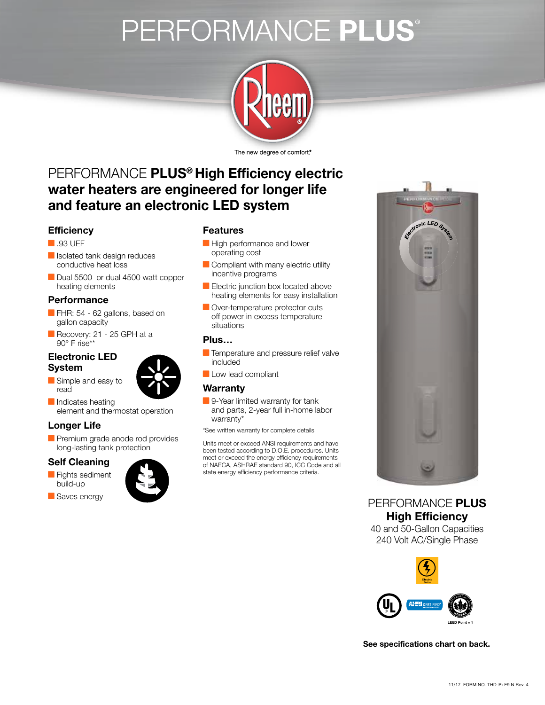# PERFORMANCE PLUS®



The new degree of comfort.<sup>®</sup>

## PERFORMANCE **PLUS® High Efficiency electric water heaters are engineered for longer life and feature an electronic LED system**

#### **Efficiency**

- **.93 UEF**
- **I**solated tank design reduces conductive heat loss
- Dual 5500 or dual 4500 watt copper heating elements

#### **Performance**

- FHR: 54 62 gallons, based on gallon capacity
- Recovery: 21 25 GPH at a  $90^\circ$  F rise\*\*

#### **Electronic LED System**

- Simple and easy to read
- 
- Indicates heating element and thermostat operation

### **Longer Life**

**Premium grade anode rod provides** long-lasting tank protection

#### **Self Cleaning**

- **Fights sediment** build-up
- Saves energy



#### **Features**

- **High performance and lower** operating cost
- Compliant with many electric utility incentive programs
- Electric junction box located above heating elements for easy installation
- Over-temperature protector cuts off power in excess temperature situations

#### **Plus…**

- **Temperature and pressure relief valve** included
- Low lead compliant

#### **Warranty**

9-Year limited warranty for tank and parts, 2-year full in-home labor warranty\*

\*See written warranty for complete details

Units meet or exceed ANSI requirements and have been tested according to D.O.E. procedures. Units meet or exceed the energy efficiency requirements of NAECA, ASHRAE standard 90, ICC Code and all state energy efficiency performance criteria.



PERFORMANCE **PLUS High Efficiency**

40 and 50-Gallon Capacities 240 Volt AC/Single Phase



**See specifications chart on back.**